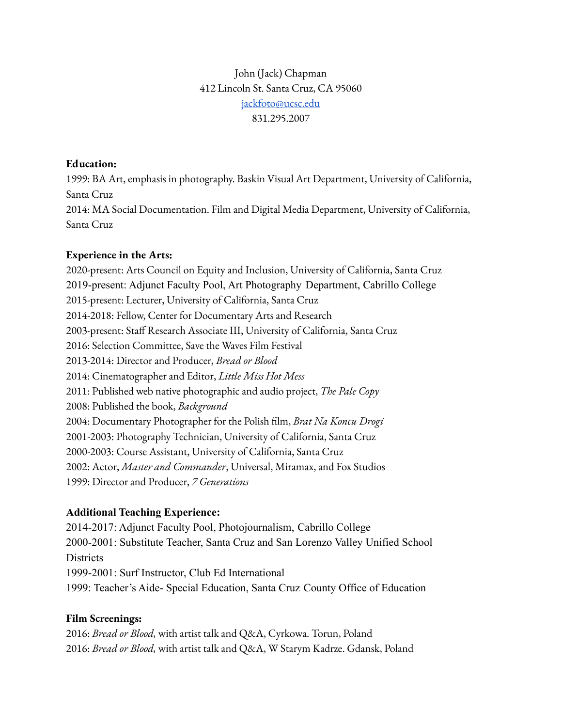# John (Jack) Chapman 412 Lincoln St. Santa Cruz, CA 95060 [jackfoto@ucsc.edu](mailto:jackfoto@ucsc.edu) 831.295.2007

### **Education:**

1999: BA Art, emphasis in photography. Baskin Visual Art Department, University of California, Santa Cruz 2014: MA Social Documentation. Film and Digital Media Department, University of California, Santa Cruz

## **Experience in the Arts:**

2020-present: Arts Council on Equity and Inclusion, University of California, Santa Cruz 2019-present: Adjunct Faculty Pool, Art Photography Department, Cabrillo College 2015-present: Lecturer, University of California, Santa Cruz 2014-2018: Fellow, Center for Documentary Arts and Research 2003-present: Staff Research Associate III, University of California, Santa Cruz 2016: Selection Committee, Save the Waves Film Festival 2013-2014: Director and Producer, *Bread or Blood* 2014: Cinematographer and Editor, *Little Miss Hot Mess* 2011: Published web native photographic and audio project, *The Pale Copy* 2008: Published the book, *Background* 2004: Documentary Photographer for the Polish film, *Brat Na Koncu Drogi* 2001-2003: Photography Technician, University of California, Santa Cruz 2000-2003: Course Assistant, University of California, Santa Cruz 2002: Actor, *Master and Commander*, Universal, Miramax, and Fox Studios 1999: Director and Producer, *7 Generations*

## **Additional Teaching Experience:**

2014-2017: Adjunct Faculty Pool, Photojournalism, Cabrillo College 2000-2001: Substitute Teacher, Santa Cruz and San Lorenzo Valley Unified School **Districts** 1999-2001: Surf Instructor, Club Ed International

1999: Teacher's Aide- Special Education, Santa Cruz County Office of Education

## **Film Screenings:**

2016: *Bread or Blood,* with artist talk and Q&A, Cyrkowa. Torun, Poland 2016: *Bread or Blood,* with artist talk and Q&A, W Starym Kadrze. Gdansk, Poland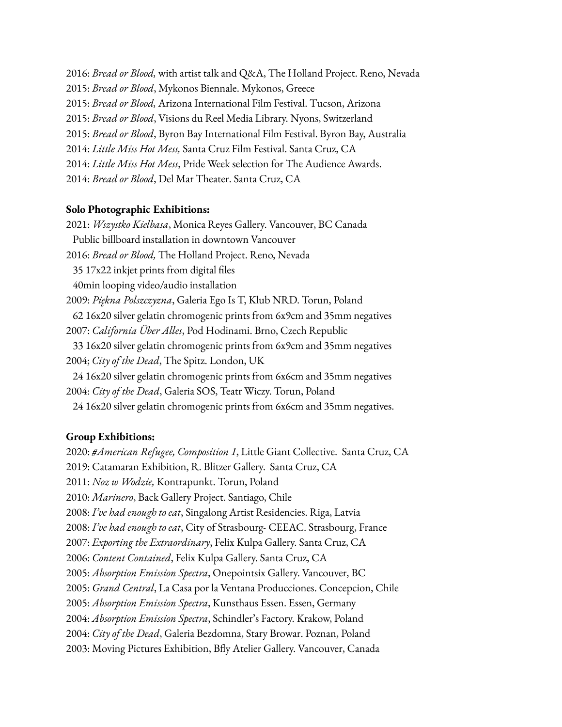2016: *Bread or Blood,* with artist talk and Q&A, The Holland Project. Reno, Nevada 2015: *Bread or Blood*, Mykonos Biennale. Mykonos, Greece 2015: *Bread or Blood,* Arizona International Film Festival. Tucson, Arizona 2015: *Bread or Blood*, Visions du Reel Media Library. Nyons, Switzerland 2015: *Bread or Blood*, Byron Bay International Film Festival. Byron Bay, Australia 2014: *Little Miss Hot Mess,* Santa Cruz Film Festival. Santa Cruz, CA 2014: *Little Miss Hot Mess*, Pride Week selection for The Audience Awards. 2014: *Bread or Blood*, Del Mar Theater. Santa Cruz, CA

#### **Solo Photographic Exhibitions:**

2021: *Wszystko Kielbasa*, Monica Reyes Gallery. Vancouver, BC Canada Public billboard installation in downtown Vancouver 2016: *Bread or Blood,* The Holland Project. Reno, Nevada 35 17x22 inkjet prints from digital files 40min looping video/audio installation 2009: *Piękna Polszczyzna*, Galeria Ego Is T, Klub NRD. Torun, Poland 62 16x20 silver gelatin chromogenic prints from 6x9cm and 35mm negatives 2007: *California Über Alles*, Pod Hodinami. Brno, Czech Republic 33 16x20 silver gelatin chromogenic prints from 6x9cm and 35mm negatives 2004; *City of the Dead*, The Spitz. London, UK 24 16x20 silver gelatin chromogenic prints from 6x6cm and 35mm negatives 2004: *City of the Dead*, Galeria SOS, Teatr Wiczy. Torun, Poland 24 16x20 silver gelatin chromogenic prints from 6x6cm and 35mm negatives.

#### **Group Exhibitions:**

2020: *#American Refugee, Composition 1*, Little Giant Collective. Santa Cruz, CA 2019: Catamaran Exhibition, R. Blitzer Gallery. Santa Cruz, CA 2011: *Noz w Wodzie,* Kontrapunkt. Torun, Poland 2010: *Marinero*, Back Gallery Project. Santiago, Chile 2008: *I've had enough to eat*, Singalong Artist Residencies. Riga, Latvia 2008: *I've had enough to eat*, City of Strasbourg- CEEAC. Strasbourg, France 2007: *Exporting the Extraordinary*, Felix Kulpa Gallery. Santa Cruz, CA 2006: *Content Contained*, Felix Kulpa Gallery. Santa Cruz, CA 2005: *Absorption Emission Spectra*, Onepointsix Gallery. Vancouver, BC 2005: *Grand Central*, La Casa por la Ventana Producciones. Concepcion, Chile 2005: *Absorption Emission Spectra*, Kunsthaus Essen. Essen, Germany 2004: *Absorption Emission Spectra*, Schindler's Factory. Krakow, Poland 2004: *City of the Dead*, Galeria Bezdomna, Stary Browar. Poznan, Poland 2003: Moving Pictures Exhibition, Bfly Atelier Gallery. Vancouver, Canada